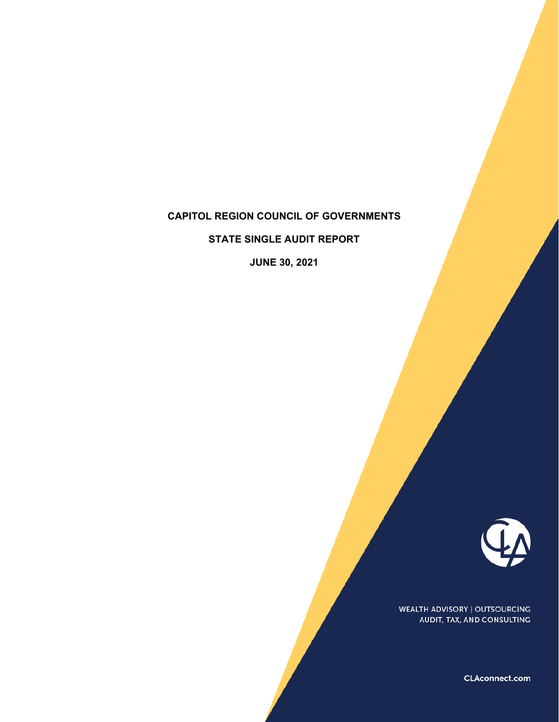# **CAPITOL REGION COUNCIL OF GOVERNMENTS**

**STATE SINGLE AUDIT REPORT** 

**JUNE 30, 2021** 



WEALTH ADVISORY | OUTSOURCING AUDIT, TAX, AND CONSULTING

CLAconnect.com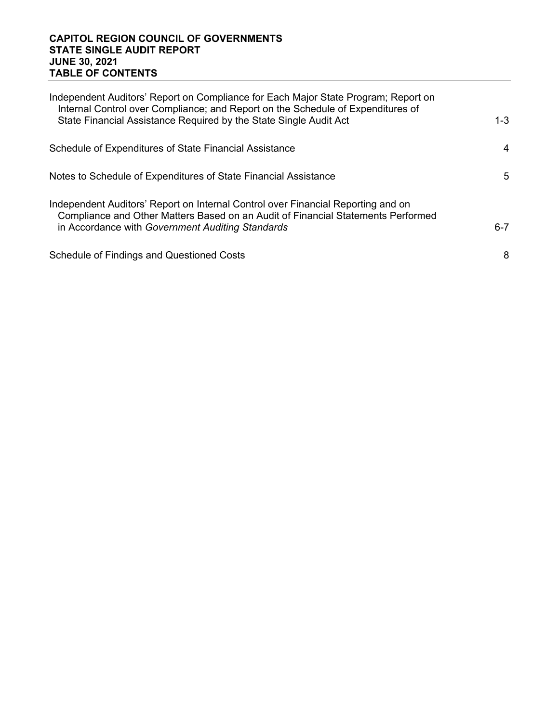### **CAPITOL REGION COUNCIL OF GOVERNMENTS STATE SINGLE AUDIT REPORT JUNE 30, 2021 TABLE OF CONTENTS**

| Independent Auditors' Report on Compliance for Each Major State Program; Report on<br>Internal Control over Compliance; and Report on the Schedule of Expenditures of<br>State Financial Assistance Required by the State Single Audit Act | $1 - 3$ |
|--------------------------------------------------------------------------------------------------------------------------------------------------------------------------------------------------------------------------------------------|---------|
| Schedule of Expenditures of State Financial Assistance                                                                                                                                                                                     | 4       |
| Notes to Schedule of Expenditures of State Financial Assistance                                                                                                                                                                            | 5       |
| Independent Auditors' Report on Internal Control over Financial Reporting and on<br>Compliance and Other Matters Based on an Audit of Financial Statements Performed<br>in Accordance with Government Auditing Standards                   | $6-7$   |
| <b>Schedule of Findings and Questioned Costs</b>                                                                                                                                                                                           | 8       |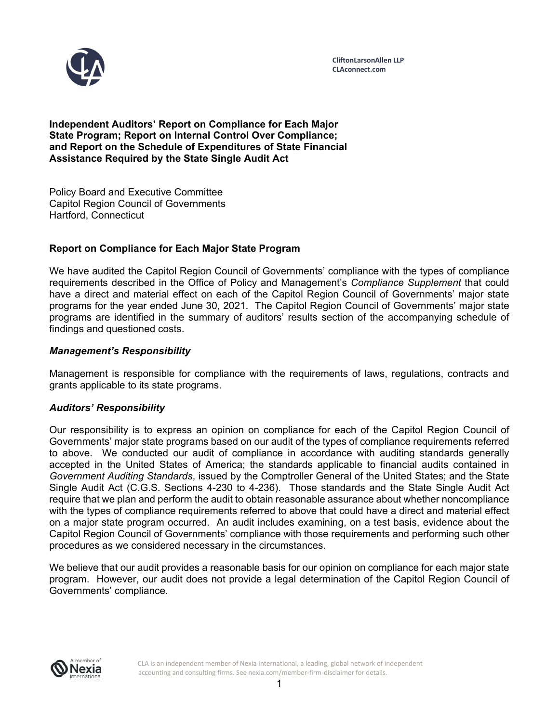

**Independent Auditors' Report on Compliance for Each Major State Program; Report on Internal Control Over Compliance; and Report on the Schedule of Expenditures of State Financial Assistance Required by the State Single Audit Act** 

Policy Board and Executive Committee Capitol Region Council of Governments Hartford, Connecticut

# **Report on Compliance for Each Major State Program**

We have audited the Capitol Region Council of Governments' compliance with the types of compliance requirements described in the Office of Policy and Management's *Compliance Supplement* that could have a direct and material effect on each of the Capitol Region Council of Governments' major state programs for the year ended June 30, 2021. The Capitol Region Council of Governments' major state programs are identified in the summary of auditors' results section of the accompanying schedule of findings and questioned costs.

### *Management's Responsibility*

Management is responsible for compliance with the requirements of laws, regulations, contracts and grants applicable to its state programs.

#### *Auditors' Responsibility*

Our responsibility is to express an opinion on compliance for each of the Capitol Region Council of Governments' major state programs based on our audit of the types of compliance requirements referred to above. We conducted our audit of compliance in accordance with auditing standards generally accepted in the United States of America; the standards applicable to financial audits contained in *Government Auditing Standards*, issued by the Comptroller General of the United States; and the State Single Audit Act (C.G.S. Sections 4-230 to 4-236). Those standards and the State Single Audit Act require that we plan and perform the audit to obtain reasonable assurance about whether noncompliance with the types of compliance requirements referred to above that could have a direct and material effect on a major state program occurred. An audit includes examining, on a test basis, evidence about the Capitol Region Council of Governments' compliance with those requirements and performing such other procedures as we considered necessary in the circumstances.

We believe that our audit provides a reasonable basis for our opinion on compliance for each major state program. However, our audit does not provide a legal determination of the Capitol Region Council of Governments' compliance.



CLA is an independent member of Nexia International, a leading, global network of independent accounting and consulting firms. See nexia.com/member-firm-disclaimer for details.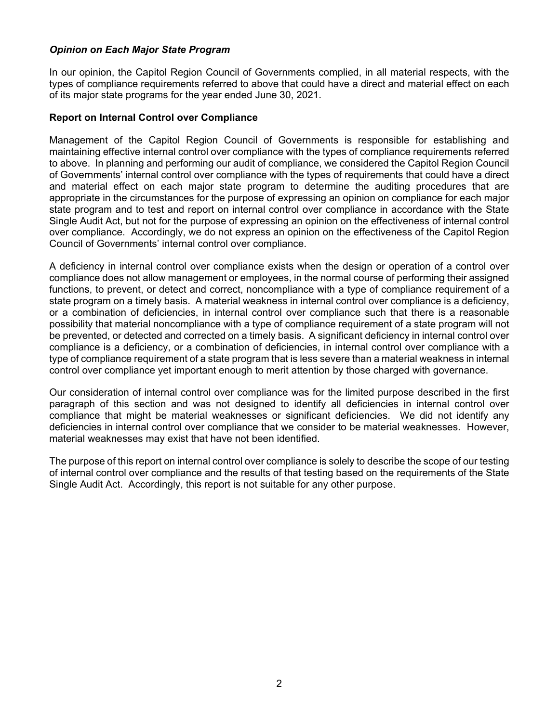# *Opinion on Each Major State Program*

In our opinion, the Capitol Region Council of Governments complied, in all material respects, with the types of compliance requirements referred to above that could have a direct and material effect on each of its major state programs for the year ended June 30, 2021.

### **Report on Internal Control over Compliance**

Management of the Capitol Region Council of Governments is responsible for establishing and maintaining effective internal control over compliance with the types of compliance requirements referred to above. In planning and performing our audit of compliance, we considered the Capitol Region Council of Governments' internal control over compliance with the types of requirements that could have a direct and material effect on each major state program to determine the auditing procedures that are appropriate in the circumstances for the purpose of expressing an opinion on compliance for each major state program and to test and report on internal control over compliance in accordance with the State Single Audit Act, but not for the purpose of expressing an opinion on the effectiveness of internal control over compliance. Accordingly, we do not express an opinion on the effectiveness of the Capitol Region Council of Governments' internal control over compliance.

A deficiency in internal control over compliance exists when the design or operation of a control over compliance does not allow management or employees, in the normal course of performing their assigned functions, to prevent, or detect and correct, noncompliance with a type of compliance requirement of a state program on a timely basis. A material weakness in internal control over compliance is a deficiency, or a combination of deficiencies, in internal control over compliance such that there is a reasonable possibility that material noncompliance with a type of compliance requirement of a state program will not be prevented, or detected and corrected on a timely basis. A significant deficiency in internal control over compliance is a deficiency, or a combination of deficiencies, in internal control over compliance with a type of compliance requirement of a state program that is less severe than a material weakness in internal control over compliance yet important enough to merit attention by those charged with governance.

Our consideration of internal control over compliance was for the limited purpose described in the first paragraph of this section and was not designed to identify all deficiencies in internal control over compliance that might be material weaknesses or significant deficiencies. We did not identify any deficiencies in internal control over compliance that we consider to be material weaknesses. However, material weaknesses may exist that have not been identified.

The purpose of this report on internal control over compliance is solely to describe the scope of our testing of internal control over compliance and the results of that testing based on the requirements of the State Single Audit Act. Accordingly, this report is not suitable for any other purpose.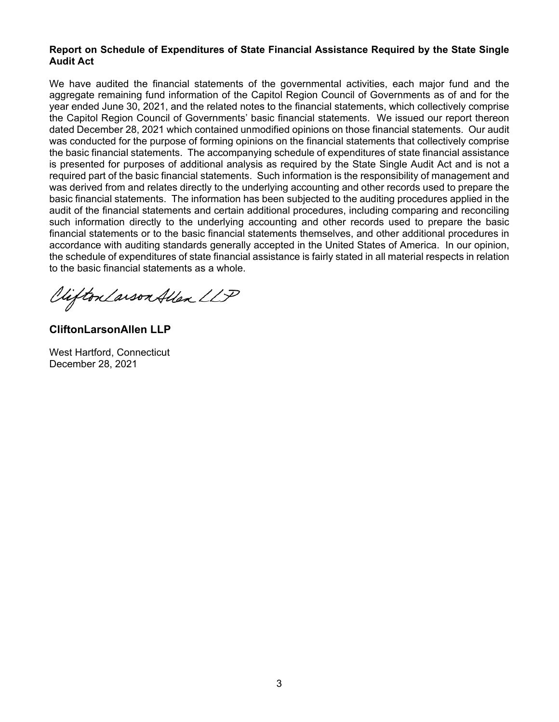# **Report on Schedule of Expenditures of State Financial Assistance Required by the State Single Audit Act**

We have audited the financial statements of the governmental activities, each major fund and the aggregate remaining fund information of the Capitol Region Council of Governments as of and for the year ended June 30, 2021, and the related notes to the financial statements, which collectively comprise the Capitol Region Council of Governments' basic financial statements. We issued our report thereon dated December 28, 2021 which contained unmodified opinions on those financial statements. Our audit was conducted for the purpose of forming opinions on the financial statements that collectively comprise the basic financial statements. The accompanying schedule of expenditures of state financial assistance is presented for purposes of additional analysis as required by the State Single Audit Act and is not a required part of the basic financial statements. Such information is the responsibility of management and was derived from and relates directly to the underlying accounting and other records used to prepare the basic financial statements. The information has been subjected to the auditing procedures applied in the audit of the financial statements and certain additional procedures, including comparing and reconciling such information directly to the underlying accounting and other records used to prepare the basic financial statements or to the basic financial statements themselves, and other additional procedures in accordance with auditing standards generally accepted in the United States of America. In our opinion, the schedule of expenditures of state financial assistance is fairly stated in all material respects in relation to the basic financial statements as a whole.

Viifton Larson Allen LLP

**CliftonLarsonAllen LLP** 

West Hartford, Connecticut December 28, 2021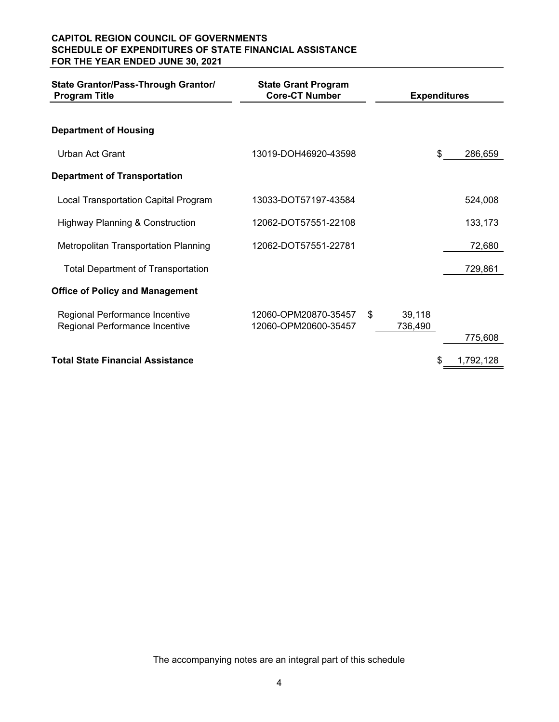# **CAPITOL REGION COUNCIL OF GOVERNMENTS SCHEDULE OF EXPENDITURES OF STATE FINANCIAL ASSISTANCE FOR THE YEAR ENDED JUNE 30, 2021**

| State Grantor/Pass-Through Grantor/<br><b>Program Title</b> | <b>State Grant Program</b><br><b>Core-CT Number</b> | <b>Expenditures</b> |                 |
|-------------------------------------------------------------|-----------------------------------------------------|---------------------|-----------------|
| <b>Department of Housing</b>                                |                                                     |                     |                 |
| Urban Act Grant                                             | 13019-DOH46920-43598                                |                     | \$<br>286,659   |
| <b>Department of Transportation</b>                         |                                                     |                     |                 |
| Local Transportation Capital Program                        | 13033-DOT57197-43584                                |                     | 524,008         |
| <b>Highway Planning &amp; Construction</b>                  | 12062-DOT57551-22108                                |                     | 133,173         |
| <b>Metropolitan Transportation Planning</b>                 | 12062-DOT57551-22781                                |                     | 72,680          |
| <b>Total Department of Transportation</b>                   |                                                     |                     | 729,861         |
| <b>Office of Policy and Management</b>                      |                                                     |                     |                 |
| Regional Performance Incentive                              | 12060-OPM20870-35457                                | \$<br>39,118        |                 |
| Regional Performance Incentive                              | 12060-OPM20600-35457                                | 736,490             | 775,608         |
| <b>Total State Financial Assistance</b>                     |                                                     |                     | \$<br>1,792,128 |

The accompanying notes are an integral part of this schedule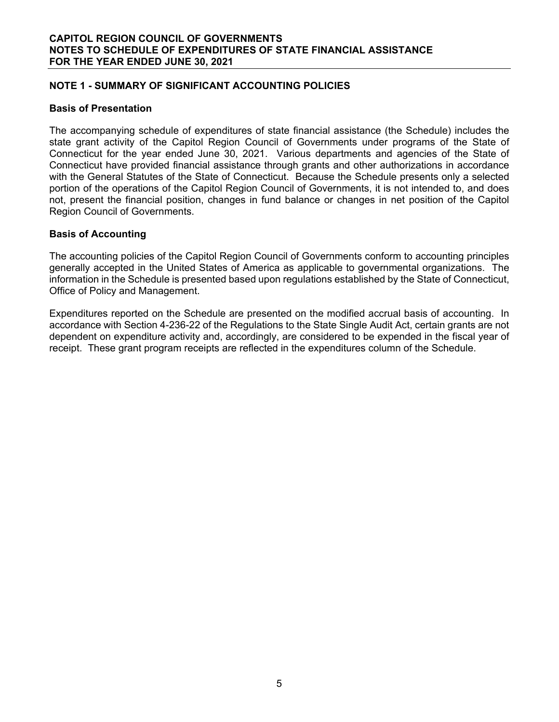# **NOTE 1 - SUMMARY OF SIGNIFICANT ACCOUNTING POLICIES**

#### **Basis of Presentation**

The accompanying schedule of expenditures of state financial assistance (the Schedule) includes the state grant activity of the Capitol Region Council of Governments under programs of the State of Connecticut for the year ended June 30, 2021. Various departments and agencies of the State of Connecticut have provided financial assistance through grants and other authorizations in accordance with the General Statutes of the State of Connecticut. Because the Schedule presents only a selected portion of the operations of the Capitol Region Council of Governments, it is not intended to, and does not, present the financial position, changes in fund balance or changes in net position of the Capitol Region Council of Governments.

### **Basis of Accounting**

The accounting policies of the Capitol Region Council of Governments conform to accounting principles generally accepted in the United States of America as applicable to governmental organizations. The information in the Schedule is presented based upon regulations established by the State of Connecticut, Office of Policy and Management.

Expenditures reported on the Schedule are presented on the modified accrual basis of accounting. In accordance with Section 4-236-22 of the Regulations to the State Single Audit Act, certain grants are not dependent on expenditure activity and, accordingly, are considered to be expended in the fiscal year of receipt. These grant program receipts are reflected in the expenditures column of the Schedule.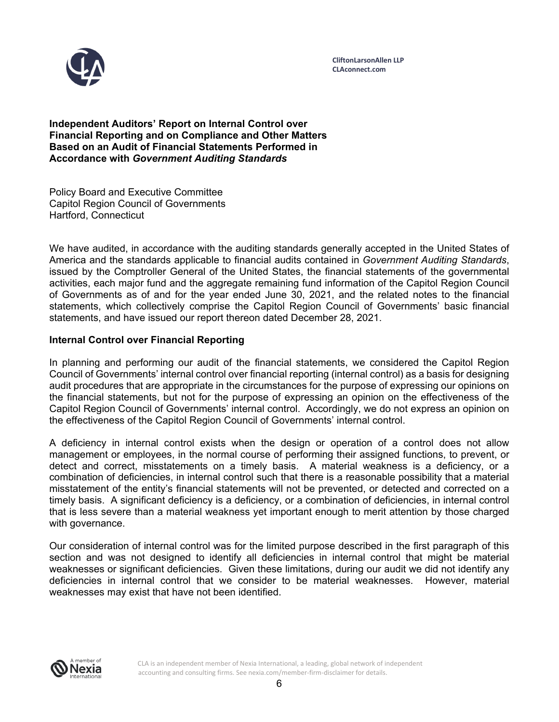

**CliftonLarsonAllen LLP CLAconnect.com**

**Independent Auditors' Report on Internal Control over Financial Reporting and on Compliance and Other Matters Based on an Audit of Financial Statements Performed in Accordance with** *Government Auditing Standards* 

Policy Board and Executive Committee Capitol Region Council of Governments Hartford, Connecticut

We have audited, in accordance with the auditing standards generally accepted in the United States of America and the standards applicable to financial audits contained in *Government Auditing Standards*, issued by the Comptroller General of the United States, the financial statements of the governmental activities, each major fund and the aggregate remaining fund information of the Capitol Region Council of Governments as of and for the year ended June 30, 2021, and the related notes to the financial statements, which collectively comprise the Capitol Region Council of Governments' basic financial statements, and have issued our report thereon dated December 28, 2021.

### **Internal Control over Financial Reporting**

In planning and performing our audit of the financial statements, we considered the Capitol Region Council of Governments' internal control over financial reporting (internal control) as a basis for designing audit procedures that are appropriate in the circumstances for the purpose of expressing our opinions on the financial statements, but not for the purpose of expressing an opinion on the effectiveness of the Capitol Region Council of Governments' internal control. Accordingly, we do not express an opinion on the effectiveness of the Capitol Region Council of Governments' internal control.

A deficiency in internal control exists when the design or operation of a control does not allow management or employees, in the normal course of performing their assigned functions, to prevent, or detect and correct, misstatements on a timely basis. A material weakness is a deficiency, or a combination of deficiencies, in internal control such that there is a reasonable possibility that a material misstatement of the entity's financial statements will not be prevented, or detected and corrected on a timely basis. A significant deficiency is a deficiency, or a combination of deficiencies, in internal control that is less severe than a material weakness yet important enough to merit attention by those charged with governance.

Our consideration of internal control was for the limited purpose described in the first paragraph of this section and was not designed to identify all deficiencies in internal control that might be material weaknesses or significant deficiencies. Given these limitations, during our audit we did not identify any deficiencies in internal control that we consider to be material weaknesses. However, material weaknesses may exist that have not been identified.



CLA is an independent member of Nexia International, a leading, global network of independent accounting and consulting firms. See nexia.com/member-firm-disclaimer for details.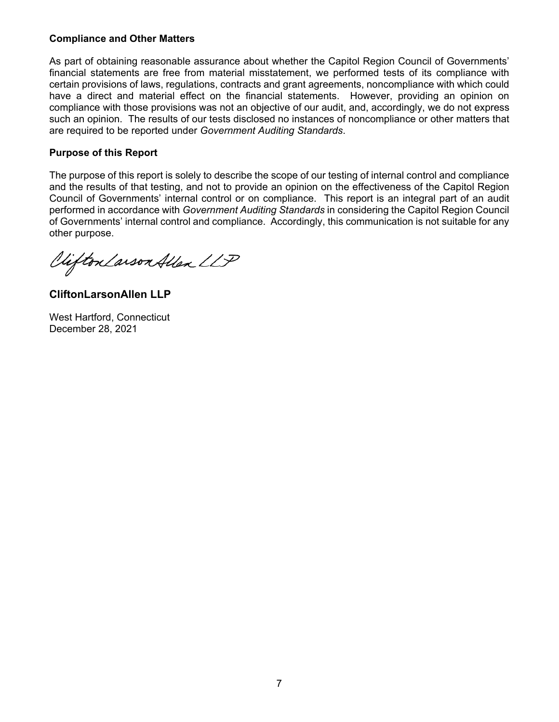# **Compliance and Other Matters**

As part of obtaining reasonable assurance about whether the Capitol Region Council of Governments' financial statements are free from material misstatement, we performed tests of its compliance with certain provisions of laws, regulations, contracts and grant agreements, noncompliance with which could have a direct and material effect on the financial statements. However, providing an opinion on compliance with those provisions was not an objective of our audit, and, accordingly, we do not express such an opinion. The results of our tests disclosed no instances of noncompliance or other matters that are required to be reported under *Government Auditing Standards*.

# **Purpose of this Report**

The purpose of this report is solely to describe the scope of our testing of internal control and compliance and the results of that testing, and not to provide an opinion on the effectiveness of the Capitol Region Council of Governments' internal control or on compliance. This report is an integral part of an audit performed in accordance with *Government Auditing Standards* in considering the Capitol Region Council of Governments' internal control and compliance. Accordingly, this communication is not suitable for any other purpose.

Viifton Larson Allen LLP

**CliftonLarsonAllen LLP** 

West Hartford, Connecticut December 28, 2021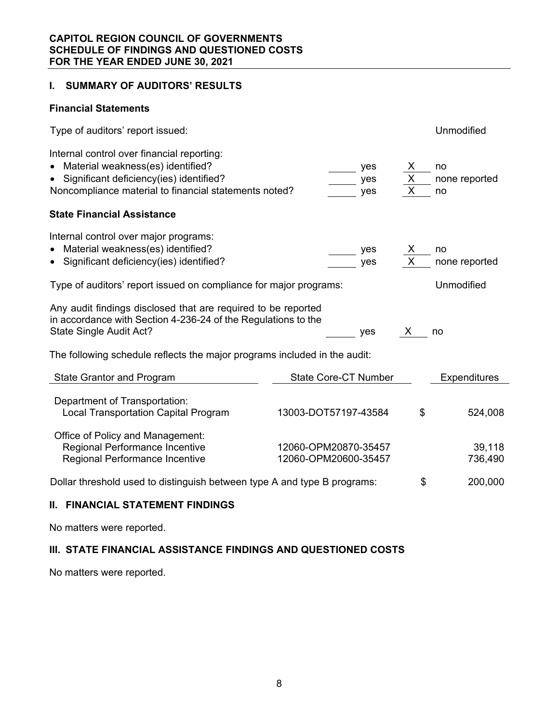# **I. SUMMARY OF AUDITORS' RESULTS**

### **Financial Statements**

| Type of auditors' report issued:                                                                                                                                                    |                                              |  |                   |                                                | Unmodified                |  |  |
|-------------------------------------------------------------------------------------------------------------------------------------------------------------------------------------|----------------------------------------------|--|-------------------|------------------------------------------------|---------------------------|--|--|
| Internal control over financial reporting:<br>Material weakness(es) identified?<br>Significant deficiency(ies) identified?<br>Noncompliance material to financial statements noted? |                                              |  | yes<br>yes<br>yes | X<br>$\overline{X}$<br>$\overline{\mathsf{x}}$ | no<br>none reported<br>no |  |  |
| <b>State Financial Assistance</b>                                                                                                                                                   |                                              |  |                   |                                                |                           |  |  |
| Internal control over major programs:<br>Material weakness(es) identified?<br>• Significant deficiency(ies) identified?                                                             |                                              |  | yes<br>yes        |                                                | no<br>none reported       |  |  |
| Type of auditors' report issued on compliance for major programs:                                                                                                                   |                                              |  |                   |                                                | Unmodified                |  |  |
| Any audit findings disclosed that are required to be reported<br>in accordance with Section 4-236-24 of the Regulations to the<br>State Single Audit Act?                           |                                              |  | yes               | X.                                             | no                        |  |  |
| The following schedule reflects the major programs included in the audit:                                                                                                           |                                              |  |                   |                                                |                           |  |  |
| State Grantor and Program                                                                                                                                                           | State Core-CT Number                         |  |                   |                                                | <b>Expenditures</b>       |  |  |
| Department of Transportation:<br><b>Local Transportation Capital Program</b>                                                                                                        | 13003-DOT57197-43584                         |  |                   | \$                                             | 524,008                   |  |  |
| Office of Policy and Management:<br>Regional Performance Incentive<br>Regional Performance Incentive                                                                                | 12060-OPM20870-35457<br>12060-OPM20600-35457 |  |                   |                                                | 39,118<br>736,490         |  |  |
| Dollar threshold used to distinguish between type A and type B programs:                                                                                                            |                                              |  |                   | \$                                             | 200,000                   |  |  |

# **II. FINANCIAL STATEMENT FINDINGS**

No matters were reported.

# **III. STATE FINANCIAL ASSISTANCE FINDINGS AND QUESTIONED COSTS**

No matters were reported.